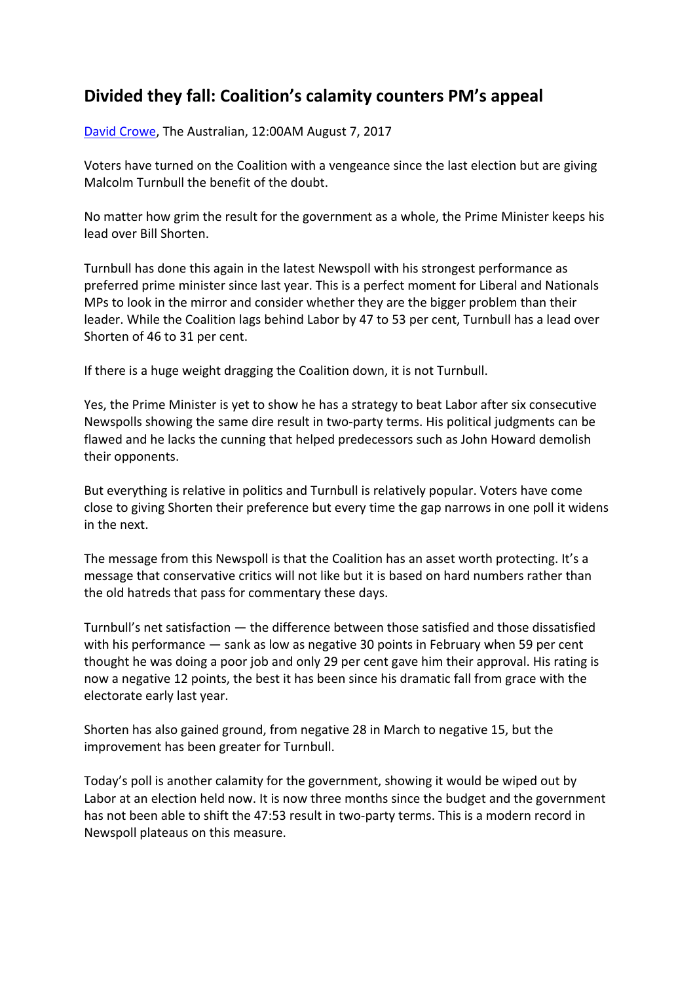## **Divided they fall: Coalition's calamity counters PM's appeal**

David Crowe, The Australian, 12:00AM August 7, 2017

Voters have turned on the Coalition with a vengeance since the last election but are giving Malcolm Turnbull the benefit of the doubt.

No matter how grim the result for the government as a whole, the Prime Minister keeps his lead over Bill Shorten.

Turnbull has done this again in the latest Newspoll with his strongest performance as preferred prime minister since last year. This is a perfect moment for Liberal and Nationals MPs to look in the mirror and consider whether they are the bigger problem than their leader. While the Coalition lags behind Labor by 47 to 53 per cent, Turnbull has a lead over Shorten of 46 to 31 per cent.

If there is a huge weight dragging the Coalition down, it is not Turnbull.

Yes, the Prime Minister is yet to show he has a strategy to beat Labor after six consecutive Newspolls showing the same dire result in two-party terms. His political judgments can be flawed and he lacks the cunning that helped predecessors such as John Howard demolish their opponents.

But everything is relative in politics and Turnbull is relatively popular. Voters have come close to giving Shorten their preference but every time the gap narrows in one poll it widens in the next.

The message from this Newspoll is that the Coalition has an asset worth protecting. It's a message that conservative critics will not like but it is based on hard numbers rather than the old hatreds that pass for commentary these days.

Turnbull's net satisfaction — the difference between those satisfied and those dissatisfied with his performance — sank as low as negative 30 points in February when 59 per cent thought he was doing a poor job and only 29 per cent gave him their approval. His rating is now a negative 12 points, the best it has been since his dramatic fall from grace with the electorate early last year.

Shorten has also gained ground, from negative 28 in March to negative 15, but the improvement has been greater for Turnbull.

Today's poll is another calamity for the government, showing it would be wiped out by Labor at an election held now. It is now three months since the budget and the government has not been able to shift the 47:53 result in two-party terms. This is a modern record in Newspoll plateaus on this measure.